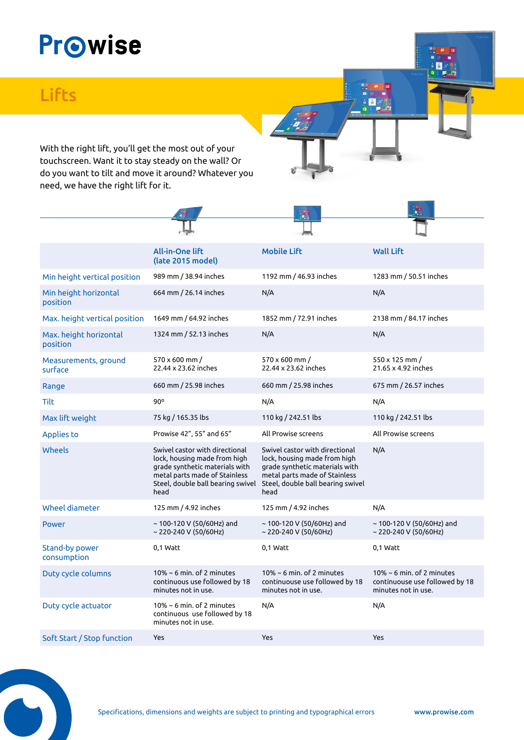## **Prowise**

## **Lifts**

With the right lift, you'll get the most out of your touchscreen. Want it to stay steady on the wall? Or do you want to tilt and move it around? Whatever you need, we have the right lift for it.

|                                    | <b>All-in-One lift</b><br>(late 2015 model)                                                                                                                                    | <b>Mobile Lift</b>                                                                                                                                                             | <b>Wall Lift</b>                                                                         |
|------------------------------------|--------------------------------------------------------------------------------------------------------------------------------------------------------------------------------|--------------------------------------------------------------------------------------------------------------------------------------------------------------------------------|------------------------------------------------------------------------------------------|
| Min height vertical position       | 989 mm / 38.94 inches                                                                                                                                                          | 1192 mm / 46.93 inches                                                                                                                                                         | 1283 mm / 50.51 inches                                                                   |
| Min height horizontal<br>position  | 664 mm / 26.14 inches                                                                                                                                                          | N/A                                                                                                                                                                            | N/A                                                                                      |
| Max. height vertical position      | 1649 mm / 64.92 inches                                                                                                                                                         | 1852 mm / 72.91 inches                                                                                                                                                         | 2138 mm / 84.17 inches                                                                   |
| Max. height horizontal<br>position | 1324 mm / 52.13 inches                                                                                                                                                         | N/A                                                                                                                                                                            | N/A                                                                                      |
| Measurements, ground<br>surface    | 570 x 600 mm /<br>22.44 x 23.62 inches                                                                                                                                         | 570 x 600 mm /<br>22.44 x 23.62 inches                                                                                                                                         | 550 x 125 mm /<br>21.65 x 4.92 inches                                                    |
| Range                              | 660 mm / 25.98 inches                                                                                                                                                          | 660 mm / 25.98 inches                                                                                                                                                          | 675 mm / 26.57 inches                                                                    |
| <b>Tilt</b>                        | $90^\circ$                                                                                                                                                                     | N/A                                                                                                                                                                            | N/A                                                                                      |
| Max lift weight                    | 75 kg / 165.35 lbs                                                                                                                                                             | 110 kg / 242.51 lbs                                                                                                                                                            | 110 kg / 242.51 lbs                                                                      |
| <b>Applies to</b>                  | Prowise 42", 55" and 65"                                                                                                                                                       | All Prowise screens                                                                                                                                                            | All Prowise screens                                                                      |
| Wheels                             | Swivel castor with directional<br>lock, housing made from high<br>grade synthetic materials with<br>metal parts made of Stainless<br>Steel, double ball bearing swivel<br>head | Swivel castor with directional<br>lock, housing made from high<br>grade synthetic materials with<br>metal parts made of Stainless<br>Steel, double ball bearing swivel<br>head | N/A                                                                                      |
| Wheel diameter                     | 125 mm / 4.92 inches                                                                                                                                                           | 125 mm / 4.92 inches                                                                                                                                                           | N/A                                                                                      |
| <b>Power</b>                       | ~ 100-120 V (50/60Hz) and<br>~ 220-240 V (50/60Hz)                                                                                                                             | $\sim$ 100-120 V (50/60Hz) and<br>~ 220-240 V (50/60Hz)                                                                                                                        | $\sim$ 100-120 V (50/60Hz) and<br>~ 220-240 V (50/60Hz)                                  |
| Stand-by power<br>consumption      | 0,1 Watt                                                                                                                                                                       | 0,1 Watt                                                                                                                                                                       | 0,1 Watt                                                                                 |
| Duty cycle columns                 | $10\% \sim 6$ min. of 2 minutes<br>continuous use followed by 18<br>minutes not in use.                                                                                        | $10\% \sim 6$ min. of 2 minutes<br>continuouse use followed by 18<br>minutes not in use.                                                                                       | $10\% \sim 6$ min. of 2 minutes<br>continuouse use followed by 18<br>minutes not in use. |
| Duty cycle actuator                | 10% $\sim$ 6 min. of 2 minutes<br>continuous use followed by 18<br>minutes not in use.                                                                                         | N/A                                                                                                                                                                            | N/A                                                                                      |
| Soft Start / Stop function         | Yes                                                                                                                                                                            | Yes                                                                                                                                                                            | <b>Yes</b>                                                                               |